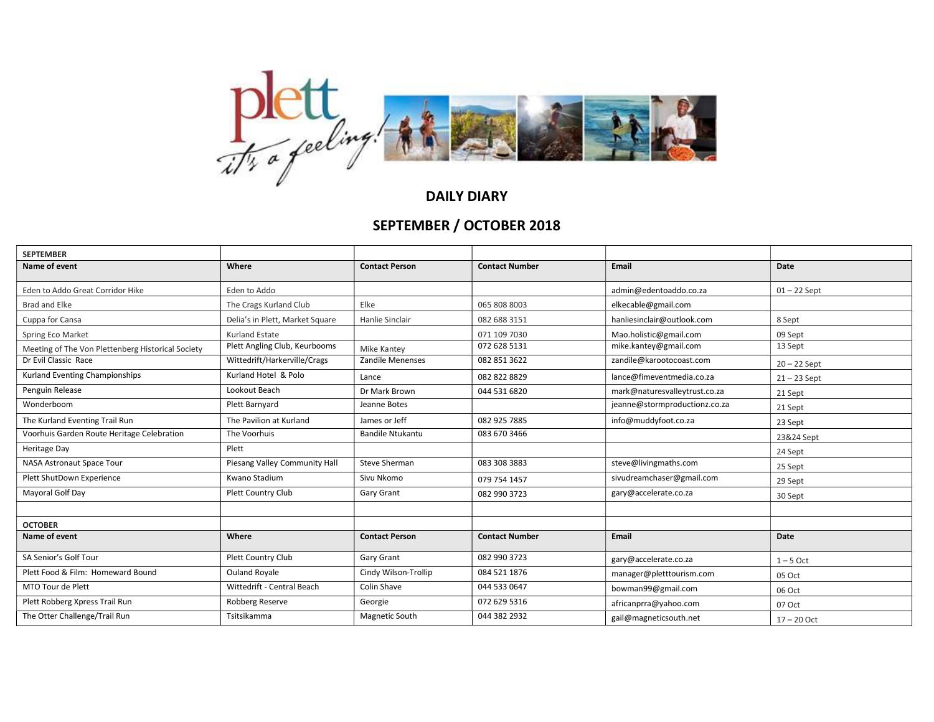

DAILY DIARY

## SEPTEMBER / OCTOBER 2018

| <b>SEPTEMBER</b>                                  |                                 |                         |                       |                               |                |
|---------------------------------------------------|---------------------------------|-------------------------|-----------------------|-------------------------------|----------------|
| Name of event                                     | Where                           | <b>Contact Person</b>   | <b>Contact Number</b> | Email                         | Date           |
| Eden to Addo Great Corridor Hike                  | Eden to Addo                    |                         |                       | admin@edentoaddo.co.za        | $01 - 22$ Sept |
| Brad and Elke                                     | The Crags Kurland Club          | Elke                    | 065 808 8003          | elkecable@gmail.com           |                |
| Cuppa for Cansa                                   | Delia's in Plett, Market Square | Hanlie Sinclair         | 082 688 3151          | hanliesinclair@outlook.com    | 8 Sept         |
| Spring Eco Market                                 | <b>Kurland Estate</b>           |                         | 071 109 7030          | Mao.holistic@gmail.com        | 09 Sept        |
| Meeting of The Von Plettenberg Historical Society | Plett Angling Club, Keurbooms   | <b>Mike Kantev</b>      | 072 628 5131          | mike.kantey@gmail.com         | 13 Sept        |
| Dr Evil Classic Race                              | Wittedrift/Harkerville/Crags    | <b>Zandile Menenses</b> | 082 851 3622          | zandile@karootocoast.com      | $20 - 22$ Sept |
| Kurland Eventing Championships                    | Kurland Hotel & Polo            | Lance                   | 082 822 8829          | lance@fimeventmedia.co.za     | $21 - 23$ Sept |
| Penguin Release                                   | Lookout Beach                   | Dr Mark Brown           | 044 531 6820          | mark@naturesvalleytrust.co.za | 21 Sept        |
| Wonderboom                                        | Plett Barnyard                  | Jeanne Botes            |                       | jeanne@stormproductionz.co.za | 21 Sept        |
| The Kurland Eventing Trail Run                    | The Pavilion at Kurland         | James or Jeff           | 082 925 7885          | info@muddyfoot.co.za          | 23 Sept        |
| Voorhuis Garden Route Heritage Celebration        | The Voorhuis                    | <b>Bandile Ntukantu</b> | 083 670 3466          |                               | 23&24 Sept     |
| Heritage Day                                      | Plett                           |                         |                       |                               | 24 Sept        |
| <b>NASA Astronaut Space Tour</b>                  | Piesang Valley Community Hall   | Steve Sherman           | 083 308 3883          | steve@livingmaths.com         | 25 Sept        |
| Plett ShutDown Experience                         | Kwano Stadium                   | Sivu Nkomo              | 079 754 1457          | sivudreamchaser@gmail.com     | 29 Sept        |
| Mayoral Golf Day                                  | <b>Plett Country Club</b>       | Gary Grant              | 082 990 3723          | gary@accelerate.co.za         | 30 Sept        |
|                                                   |                                 |                         |                       |                               |                |
| <b>OCTOBER</b>                                    |                                 |                         |                       |                               |                |
| Name of event                                     | Where                           | <b>Contact Person</b>   | <b>Contact Number</b> | Email                         | Date           |
| SA Senior's Golf Tour                             | Plett Country Club              | Gary Grant              | 082 990 3723          | gary@accelerate.co.za         | $1 - 5$ Oct    |
| Plett Food & Film: Homeward Bound                 | <b>Ouland Royale</b>            | Cindy Wilson-Trollip    | 084 521 1876          | manager@pletttourism.com      | 05 Oct         |
| MTO Tour de Plett                                 | Wittedrift - Central Beach      | Colin Shave             | 044 533 0647          | bowman99@gmail.com            | 06 Oct         |
| Plett Robberg Xpress Trail Run                    | Robberg Reserve                 | Georgie                 | 072 629 5316          | africanprra@yahoo.com         | 07 Oct         |
| The Otter Challenge/Trail Run                     | Tsitsikamma                     | Magnetic South          | 044 382 2932          | gail@magneticsouth.net        | $17 - 20$ Oct  |